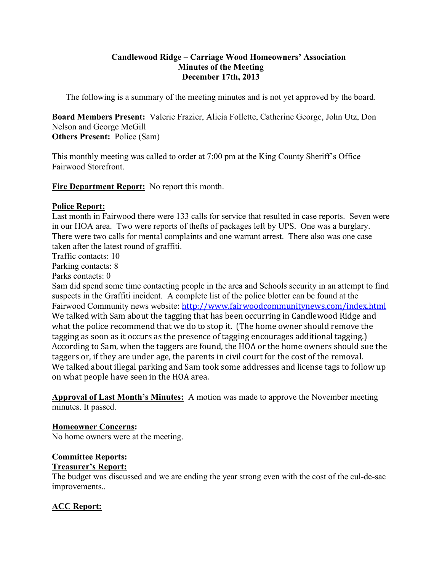# **Candlewood Ridge – Carriage Wood Homeowners' Association Minutes of the Meeting December 17th, 2013**

The following is a summary of the meeting minutes and is not yet approved by the board.

**Board Members Present:** Valerie Frazier, Alicia Follette, Catherine George, John Utz, Don Nelson and George McGill **Others Present:** Police (Sam)

This monthly meeting was called to order at 7:00 pm at the King County Sheriff's Office – Fairwood Storefront.

**Fire Department Report:** No report this month.

# **Police Report:**

Last month in Fairwood there were 133 calls for service that resulted in case reports. Seven were in our HOA area. Two were reports of thefts of packages left by UPS. One was a burglary. There were two calls for mental complaints and one warrant arrest. There also was one case taken after the latest round of graffiti.

Traffic contacts: 10

Parking contacts: 8

Parks contacts: 0

Sam did spend some time contacting people in the area and Schools security in an attempt to find suspects in the Graffiti incident. A complete list of the police blotter can be found at the Fairwood Community news website: http://www.fairwoodcommunitynews.com/index.html We talked with Sam about the tagging that has been occurring in Candlewood Ridge and what the police recommend that we do to stop it. (The home owner should remove the tagging as soon as it occurs as the presence of tagging encourages additional tagging.) According to Sam, when the taggers are found, the HOA or the home owners should sue the taggers or, if they are under age, the parents in civil court for the cost of the removal. We talked about illegal parking and Sam took some addresses and license tags to follow up on what people have seen in the HOA area.

**Approval of Last Month's Minutes:** A motion was made to approve the November meeting minutes. It passed.

**Homeowner Concerns:** 

No home owners were at the meeting.

# **Committee Reports: Treasurer's Report:**

The budget was discussed and we are ending the year strong even with the cost of the cul-de-sac improvements..

# **ACC Report:**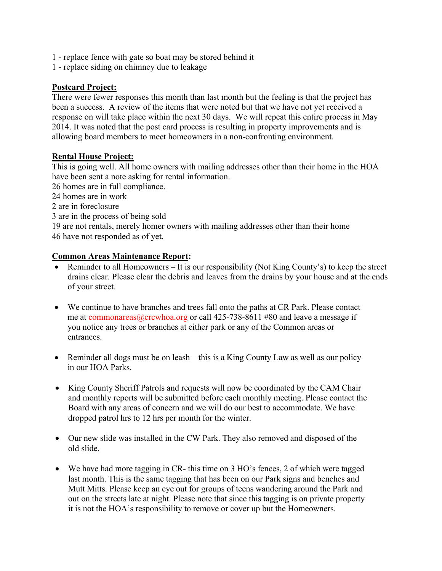- 1 replace fence with gate so boat may be stored behind it
- 1 replace siding on chimney due to leakage

# **Postcard Project:**

There were fewer responses this month than last month but the feeling is that the project has been a success. A review of the items that were noted but that we have not yet received a response on will take place within the next 30 days. We will repeat this entire process in May 2014. It was noted that the post card process is resulting in property improvements and is allowing board members to meet homeowners in a non-confronting environment.

# **Rental House Project:**

This is going well. All home owners with mailing addresses other than their home in the HOA have been sent a note asking for rental information.

26 homes are in full compliance.

24 homes are in work

2 are in foreclosure

3 are in the process of being sold

19 are not rentals, merely homer owners with mailing addresses other than their home 46 have not responded as of yet.

### **Common Areas Maintenance Report:**

- Reminder to all Homeowners It is our responsibility (Not King County's) to keep the street drains clear. Please clear the debris and leaves from the drains by your house and at the ends of your street.
- We continue to have branches and trees fall onto the paths at CR Park. Please contact me at commonareas@crcwhoa.org or call 425-738-8611 #80 and leave a message if you notice any trees or branches at either park or any of the Common areas or entrances.
- Reminder all dogs must be on leash this is a King County Law as well as our policy in our HOA Parks.
- King County Sheriff Patrols and requests will now be coordinated by the CAM Chair and monthly reports will be submitted before each monthly meeting. Please contact the Board with any areas of concern and we will do our best to accommodate. We have dropped patrol hrs to 12 hrs per month for the winter.
- Our new slide was installed in the CW Park. They also removed and disposed of the old slide.
- We have had more tagging in CR- this time on 3 HO's fences, 2 of which were tagged last month. This is the same tagging that has been on our Park signs and benches and Mutt Mitts. Please keep an eye out for groups of teens wandering around the Park and out on the streets late at night. Please note that since this tagging is on private property it is not the HOA's responsibility to remove or cover up but the Homeowners.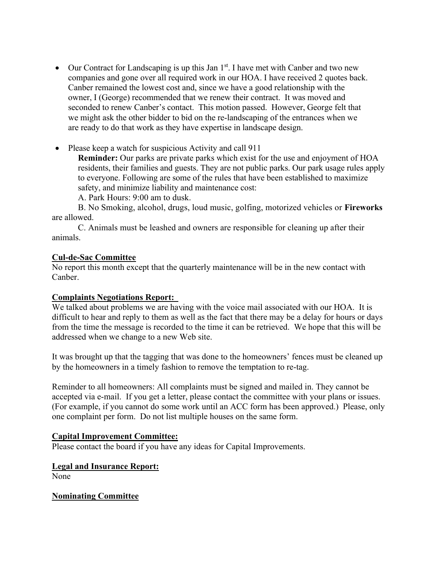- $\bullet$  Our Contract for Landscaping is up this Jan 1<sup>st</sup>. I have met with Canber and two new companies and gone over all required work in our HOA. I have received 2 quotes back. Canber remained the lowest cost and, since we have a good relationship with the owner, I (George) recommended that we renew their contract. It was moved and seconded to renew Canber's contact. This motion passed. However, George felt that we might ask the other bidder to bid on the re-landscaping of the entrances when we are ready to do that work as they have expertise in landscape design.
- Please keep a watch for suspicious Activity and call 911

**Reminder:** Our parks are private parks which exist for the use and enjoyment of HOA residents, their families and guests. They are not public parks. Our park usage rules apply to everyone. Following are some of the rules that have been established to maximize safety, and minimize liability and maintenance cost:

A. Park Hours: 9:00 am to dusk.

B. No Smoking, alcohol, drugs, loud music, golfing, motorized vehicles or **Fireworks**  are allowed.

C. Animals must be leashed and owners are responsible for cleaning up after their animals.

### **Cul-de-Sac Committee**

No report this month except that the quarterly maintenance will be in the new contact with Canber.

### **Complaints Negotiations Report:**

We talked about problems we are having with the voice mail associated with our HOA. It is difficult to hear and reply to them as well as the fact that there may be a delay for hours or days from the time the message is recorded to the time it can be retrieved. We hope that this will be addressed when we change to a new Web site.

It was brought up that the tagging that was done to the homeowners' fences must be cleaned up by the homeowners in a timely fashion to remove the temptation to re-tag.

Reminder to all homeowners: All complaints must be signed and mailed in. They cannot be accepted via e-mail. If you get a letter, please contact the committee with your plans or issues. (For example, if you cannot do some work until an ACC form has been approved.) Please, only one complaint per form. Do not list multiple houses on the same form.

### **Capital Improvement Committee:**

Please contact the board if you have any ideas for Capital Improvements.

# **Legal and Insurance Report:**

None

**Nominating Committee**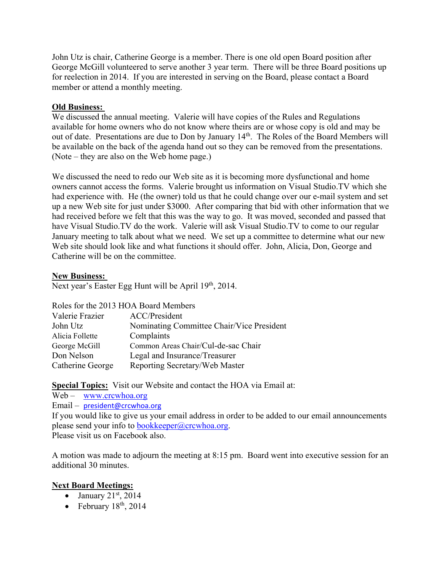John Utz is chair, Catherine George is a member. There is one old open Board position after George McGill volunteered to serve another 3 year term. There will be three Board positions up for reelection in 2014. If you are interested in serving on the Board, please contact a Board member or attend a monthly meeting.

# **Old Business:**

We discussed the annual meeting. Valerie will have copies of the Rules and Regulations available for home owners who do not know where theirs are or whose copy is old and may be out of date. Presentations are due to Don by January 14<sup>th</sup>. The Roles of the Board Members will be available on the back of the agenda hand out so they can be removed from the presentations. (Note – they are also on the Web home page.)

We discussed the need to redo our Web site as it is becoming more dysfunctional and home owners cannot access the forms. Valerie brought us information on Visual Studio.TV which she had experience with. He (the owner) told us that he could change over our e-mail system and set up a new Web site for just under \$3000. After comparing that bid with other information that we had received before we felt that this was the way to go. It was moved, seconded and passed that have Visual Studio.TV do the work. Valerie will ask Visual Studio.TV to come to our regular January meeting to talk about what we need. We set up a committee to determine what our new Web site should look like and what functions it should offer. John, Alicia, Don, George and Catherine will be on the committee.

### **New Business:**

Next year's Easter Egg Hunt will be April 19<sup>th</sup>, 2014.

Roles for the 2013 HOA Board Members

| Valerie Frazier  | ACC/President                             |
|------------------|-------------------------------------------|
| John Utz         | Nominating Committee Chair/Vice President |
| Alicia Follette  | Complaints                                |
| George McGill    | Common Areas Chair/Cul-de-sac Chair       |
| Don Nelson       | Legal and Insurance/Treasurer             |
| Catherine George | Reporting Secretary/Web Master            |

**Special Topics:** Visit our Website and contact the HOA via Email at:

Web – www.crcwhoa.org Email – president@crcwhoa.org If you would like to give us your email address in order to be added to our email announcements please send your info to  $bookkeeper@crcwhoa.org$ . Please visit us on Facebook also.

A motion was made to adjourn the meeting at 8:15 pm. Board went into executive session for an additional 30 minutes.

# **Next Board Meetings:**

- $\overline{\bullet}$  January 21st, 2014
- February  $18<sup>th</sup>$ , 2014